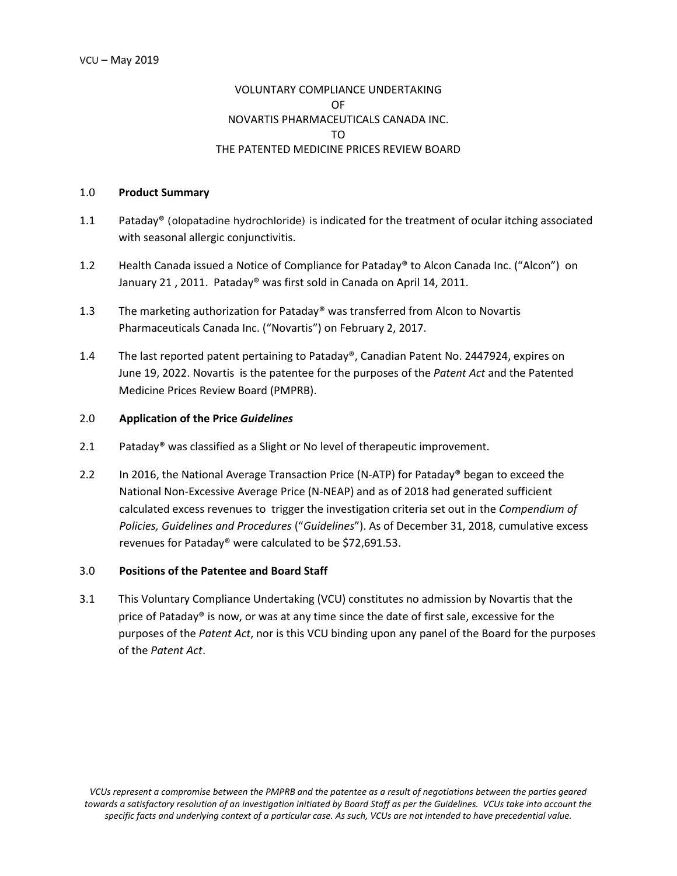# VOLUNTARY COMPLIANCE UNDERTAKING OF NOVARTIS PHARMACEUTICALS CANADA INC. TO THE PATENTED MEDICINE PRICES REVIEW BOARD

### 1.0 **Product Summary**

- 1.1 Pataday® (olopatadine hydrochloride) is indicated for the treatment of ocular itching associated with seasonal allergic conjunctivitis.
- 1.2 Health Canada issued a Notice of Compliance for Pataday® to Alcon Canada Inc. ("Alcon") on January 21 , 2011. Pataday® was first sold in Canada on April 14, 2011.
- 1.3 The marketing authorization for Pataday® was transferred from Alcon to Novartis Pharmaceuticals Canada Inc. ("Novartis") on February 2, 2017.
- 1.4 The last reported patent pertaining to Pataday®, Canadian Patent No. 2447924, expires on June 19, 2022. Novartis is the patentee for the purposes of the *Patent Act* and the Patented Medicine Prices Review Board (PMPRB).

## 2.0 **Application of the Price** *Guidelines*

- 2.1 Pataday<sup>®</sup> was classified as a Slight or No level of therapeutic improvement.
- 2.2 In 2016, the National Average Transaction Price (N-ATP) for Pataday® began to exceed the National Non-Excessive Average Price (N-NEAP) and as of 2018 had generated sufficient calculated excess revenues to trigger the investigation criteria set out in the *Compendium of Policies, Guidelines and Procedures* ("*Guidelines*"). As of December 31, 2018, cumulative excess revenues for Pataday® were calculated to be \$72,691.53.

## 3.0 **Positions of the Patentee and Board Staff**

3.1 This Voluntary Compliance Undertaking (VCU) constitutes no admission by Novartis that the price of Pataday® is now, or was at any time since the date of first sale, excessive for the purposes of the *Patent Act*, nor is this VCU binding upon any panel of the Board for the purposes of the *Patent Act*.

*VCUs represent a compromise between the PMPRB and the patentee as a result of negotiations between the parties geared towards a satisfactory resolution of an investigation initiated by Board Staff as per the Guidelines. VCUs take into account the specific facts and underlying context of a particular case. As such, VCUs are not intended to have precedential value.*